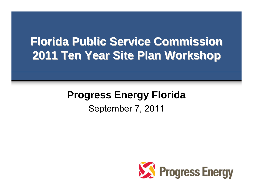## **Florida Public Service Commission Florida Public Service Commission 2011 Ten Year Site Plan Workshop 2011 Ten Year Site Plan Workshop**

#### **Progress Energy Florida** September 7, 2011

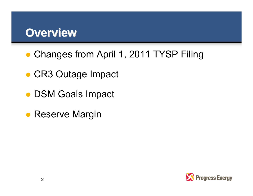### **Overview Overview**

- Changes from April 1, 2011 TYSP Filing
- CR3 Outage Impact
- DSM Goals Impact
- Reserve Margin

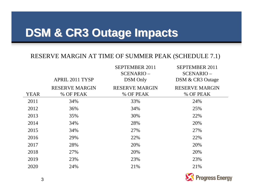# **DSM & CR3 Outage Impacts DSM & CR3 Outage Impacts**

#### RESERVE MARGIN AT TIME OF SUMMER PEAK (SCHEDULE 7.1)

|             |                        | <b>SEPTEMBER 2011</b> | <b>SEPTEMBER 2011</b> |
|-------------|------------------------|-----------------------|-----------------------|
|             |                        | SCENARIO-             | SCENARIO-             |
|             | <b>APRIL 2011 TYSP</b> | <b>DSM</b> Only       | DSM & CR3 Outage      |
|             | <b>RESERVE MARGIN</b>  | <b>RESERVE MARGIN</b> | <b>RESERVE MARGIN</b> |
| <b>YEAR</b> | % OF PEAK              | % OF PEAK             | % OF PEAK             |
| 2011        | 34%                    | 33%                   | 24%                   |
| 2012        | 36%                    | 34%                   | 25%                   |
| 2013        | 35%                    | 30%                   | 22%                   |
| 2014        | 34%                    | 28%                   | 20%                   |
| 2015        | 34%                    | 27%                   | 27%                   |
| 2016        | 29%                    | 22%                   | 22%                   |
| 2017        | 28%                    | 20%                   | 20%                   |
| 2018        | 27%                    | 20%                   | 20%                   |
| 2019        | 23%                    | 23%                   | 23%                   |
| 2020        | 24%                    | 21%                   | 21%                   |
|             |                        |                       |                       |

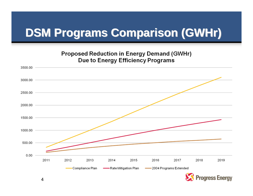# **DSM Programs Comparison (GWHr) DSM Programs Comparison (GWHr)**

#### **Proposed Reduction in Energy Demand (GWHr) Due to Energy Efficiency Programs**



4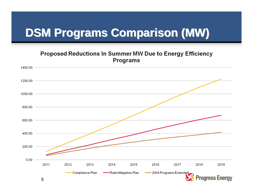# **DSM Programs Comparison (MW) DSM Programs Comparison (MW)**

#### **Proposed Reductions In Summer MW Due to Energy Efficiency Programs**

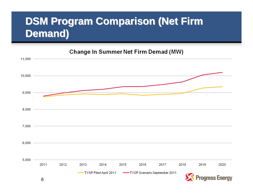#### **DSM Program Comparison (Net Firm Demand) Demand)**

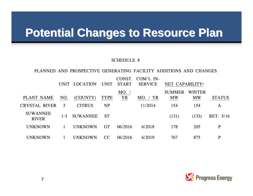## **Potential Changes to Resource Plan Potential Changes to Resource Plan**

#### SCHEDULE 8

#### PLANNED AND PROSPECTIVE GENERATING FACILITY ADDITIONS AND CHANGES

|                                 | <b>UNIT</b> | LOCATION        | <b>UNIT</b> | CONST.<br><b>START</b> | COM'L IN-<br><b>SERVICE</b> | NET CAPABILITY <sup>a</sup> |                            |               |
|---------------------------------|-------------|-----------------|-------------|------------------------|-----------------------------|-----------------------------|----------------------------|---------------|
| PLANT NAME                      | NO.         | (COUNTY)        | <b>TYPE</b> | MO. /<br><b>YR</b>     | MO. / YR                    | <b>SUMMER</b><br><b>MW</b>  | <b>WINTER</b><br><b>MW</b> | <b>STATUS</b> |
| CRYSTAL RIVER                   | 3           | <b>CITRUS</b>   | <b>NP</b>   |                        | 11/2014                     | 154                         | 154                        | A             |
| <b>SUWANNEE</b><br><b>RIVER</b> | $1 - 3$     | <b>SUWANNEE</b> | <b>ST</b>   |                        |                             | (131)                       | (133)                      | RET. 5/16     |
| <b>UNKNOWN</b>                  |             | <b>UNKNOWN</b>  | <b>GT</b>   | 06/2016                | 6/2018                      | 178                         | 205                        | $\mathbf{P}$  |
| UNKNOWN                         |             | <b>UNKNOWN</b>  | <b>CC</b>   | 06/2016                | 6/2019                      | 767                         | 875                        | P             |

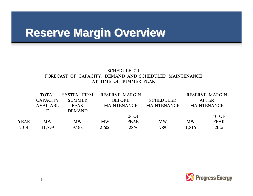## **Reserve Margin Overview Reserve Margin Overview**

#### SCHEDULE 7.1FORECAST OF CAPACITY, DEMAND AND SCHEDULED MAINTENANCE AT TIME OF SUMMER PEAK

|             | <b>TOTAL</b>    | <b>SYSTEM FIRM</b> |                                          | <b>RESERVE MARGIN</b> |                    |              | <b>RESERVE MARGIN</b> |
|-------------|-----------------|--------------------|------------------------------------------|-----------------------|--------------------|--------------|-----------------------|
|             | <b>CAPACITY</b> | <b>SUMMER</b>      | <b>BEFORE</b>                            |                       | <b>SCHEDULED</b>   | <b>AFTER</b> |                       |
|             | <b>AVAILABL</b> | <b>PEAK</b>        | <b>MAINTENANCE</b><br><b>MAINTENANCE</b> |                       | <b>MAINTENANCE</b> |              |                       |
|             | E               | <b>DEMAND</b>      |                                          |                       |                    |              |                       |
|             |                 |                    |                                          | $%$ OF                |                    |              | $%$ OF                |
| <b>YEAR</b> | <b>MW</b>       | <b>MW</b>          | <b>MW</b>                                | <b>PEAK</b>           | <b>MW</b>          | <b>MW</b>    | <b>PEAK</b>           |
| 2014        | 11,799          | 9,193              | 2,606                                    | 28%                   | 789                | 1,816        | 20%                   |

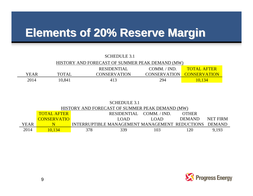## **Elements of 20% Reserve Margin Elements of 20% Reserve Margin**

| <b>SCHEDULE 3.1</b>                             |              |                     |              |                                  |  |  |
|-------------------------------------------------|--------------|---------------------|--------------|----------------------------------|--|--|
| HISTORY AND FORECAST OF SUMMER PEAK DEMAND (MW) |              |                     |              |                                  |  |  |
|                                                 |              | <b>RESIDENTIAL</b>  | COMM. / IND. | <b>TOTAL AFTER</b>               |  |  |
| <b>YEAR</b>                                     | <b>TOTAL</b> | <b>CONSERVATION</b> |              | <b>CONSERVATION CONSERVATION</b> |  |  |
| 2014                                            | 10,841       | 413                 | 294          | 10,134                           |  |  |

| SCHEDULE 3.1                                    |                    |                                                |                          |      |               |                 |  |
|-------------------------------------------------|--------------------|------------------------------------------------|--------------------------|------|---------------|-----------------|--|
| HISTORY AND FORECAST OF SUMMER PEAK DEMAND (MW) |                    |                                                |                          |      |               |                 |  |
|                                                 | <b>TOTAL AFTER</b> |                                                | RESIDENTIAL COMM. / IND. |      | <b>OTHER</b>  |                 |  |
|                                                 | <b>CONSERVATIO</b> |                                                | LOAD.                    | L(A) | <b>DEMAND</b> | <b>NET FIRM</b> |  |
| <b>YEAR</b>                                     |                    | INTERRUPTIBLE MANAGEMENT MANAGEMENT REDUCTIONS |                          |      |               | <b>DEMAND</b>   |  |
| 2014                                            | 0.134              | 378                                            | 339                      | 103  |               | 9.193           |  |

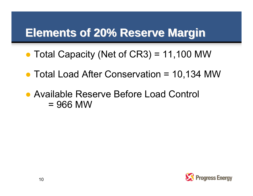## **Elements of 20% Reserve Margin Elements of 20% Reserve Margin**

- Total Capacity (Net of CR3) = 11,100 MW
- Total Load After Conservation = 10,134 MW
- Available Reserve Before Load Control  $= 966$  MW

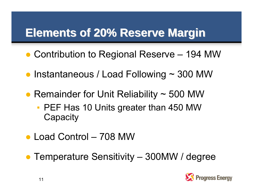# **Elements of 20% Reserve Margin Elements of 20% Reserve Margin**

- Contribution to Regional Reserve 194 MW
- Instantaneous / Load Following ~ 300 MW
- Remainder for Unit Reliability ~ 500 MW
	- **PEF Has 10 Units greater than 450 MW Capacity**
- Load Control 708 MW
- Temperature Sensitivity 300MW / degree